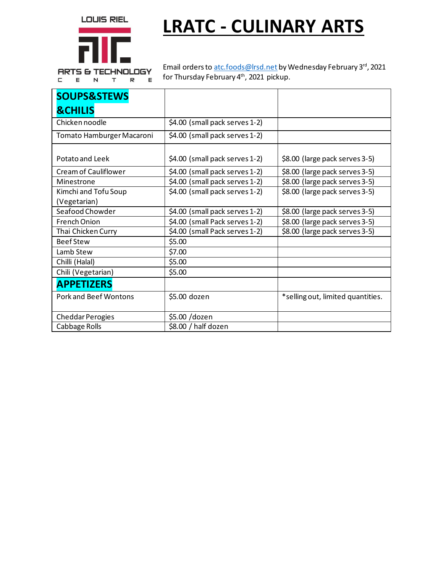LOUIS RIEL



**LRATC - CULINARY ARTS**

C E N T R  $\mathsf E$  Email orders to atc.foods@lrsd.net by Wednesday February 3rd, 2021 for Thursday February 4<sup>th</sup>, 2021 pickup.

| <b>SOUPS&amp;STEWS</b>       |                                |                                   |
|------------------------------|--------------------------------|-----------------------------------|
| <b>&amp;CHILIS</b>           |                                |                                   |
| Chicken noodle               | \$4.00 (small pack serves 1-2) |                                   |
| Tomato Hamburger Macaroni    | \$4.00 (small pack serves 1-2) |                                   |
| Potato and Leek              | \$4.00 (small pack serves 1-2) | \$8.00 (large pack serves 3-5)    |
| Cream of Cauliflower         | \$4.00 (small pack serves 1-2) | \$8.00 (large pack serves 3-5)    |
| Minestrone                   | \$4.00 (small pack serves 1-2) | \$8.00 (large pack serves 3-5)    |
| Kimchi and Tofu Soup         | \$4.00 (small pack serves 1-2) | \$8.00 (large pack serves 3-5)    |
| (Vegetarian)                 |                                |                                   |
| Seafood Chowder              | \$4.00 (small pack serves 1-2) | \$8.00 (large pack serves 3-5)    |
| <b>French Onion</b>          | \$4.00 (small Pack serves 1-2) | \$8.00 (large pack serves 3-5)    |
| Thai Chicken Curry           | \$4.00 (small Pack serves 1-2) | \$8.00 (large pack serves 3-5)    |
| <b>Beef Stew</b>             | \$5.00                         |                                   |
| Lamb Stew                    | \$7.00                         |                                   |
| Chilli (Halal)               | \$5.00                         |                                   |
| Chili (Vegetarian)           | \$5.00                         |                                   |
| <b>APPETIZERS</b>            |                                |                                   |
| <b>Pork and Beef Wontons</b> | \$5.00 dozen                   | *selling out, limited quantities. |
| <b>Cheddar Perogies</b>      | \$5.00 /dozen                  |                                   |
| Cabbage Rolls                | \$8.00 / half dozen            |                                   |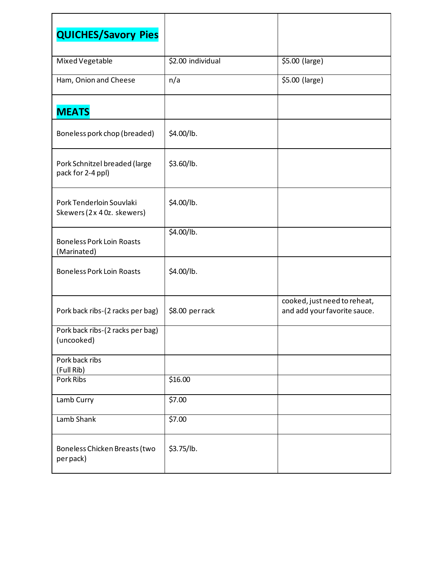| <b>QUICHES/Savory Pies</b>                             |                    |                                                              |
|--------------------------------------------------------|--------------------|--------------------------------------------------------------|
| Mixed Vegetable                                        | \$2.00 individual  | \$5.00 (large)                                               |
| Ham, Onion and Cheese                                  | n/a                | \$5.00 (large)                                               |
| <b>MEATS</b>                                           |                    |                                                              |
| Boneless pork chop (breaded)                           | \$4.00/lb.         |                                                              |
| Pork Schnitzel breaded (large<br>pack for 2-4 ppl)     | \$3.60/lb.         |                                                              |
| Pork Tenderloin Souvlaki<br>Skewers (2x 4 0z. skewers) | \$4.00/lb.         |                                                              |
| <b>Boneless Pork Loin Roasts</b><br>(Marinated)        | \$4.00/lb.         |                                                              |
| <b>Boneless Pork Loin Roasts</b>                       | \$4.00/lb.         |                                                              |
| Pork back ribs-(2 racks per bag)                       | \$8.00 per rack    | cooked, just need to reheat,<br>and add your favorite sauce. |
| Pork back ribs-(2 racks per bag)<br>(uncooked)         |                    |                                                              |
| Pork back ribs<br>(Full Rib)                           |                    |                                                              |
| Pork Ribs                                              | \$16.00            |                                                              |
| Lamb Curry                                             | \$7.00             |                                                              |
| Lamb Shank                                             | $\overline{$}7.00$ |                                                              |
| Boneless Chicken Breasts (two<br>per pack)             | \$3.75/lb.         |                                                              |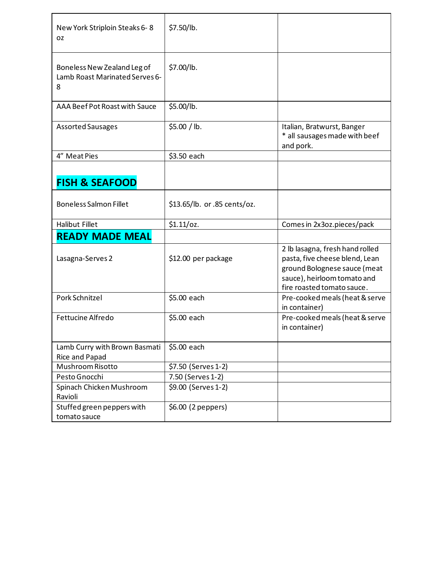| New York Striploin Steaks 6-8<br>OZ.                               | \$7.50/lb.                   |                                                                                                                                                                |
|--------------------------------------------------------------------|------------------------------|----------------------------------------------------------------------------------------------------------------------------------------------------------------|
| Boneless New Zealand Leg of<br>Lamb Roast Marinated Serves 6-<br>8 | \$7.00/lb.                   |                                                                                                                                                                |
| AAA Beef Pot Roast with Sauce                                      | \$5.00/lb.                   |                                                                                                                                                                |
| <b>Assorted Sausages</b>                                           | \$5.00 / lb.                 | Italian, Bratwurst, Banger<br>* all sausages made with beef<br>and pork.                                                                                       |
| 4" Meat Pies                                                       | \$3.50 each                  |                                                                                                                                                                |
| <b>FISH &amp; SEAFOOD</b>                                          |                              |                                                                                                                                                                |
| <b>Boneless Salmon Fillet</b>                                      | \$13.65/lb. or .85 cents/oz. |                                                                                                                                                                |
| <b>Halibut Fillet</b>                                              | \$1.11/oz.                   | Comes in 2x3oz.pieces/pack                                                                                                                                     |
| <b>READY MADE MEAL</b>                                             |                              |                                                                                                                                                                |
| Lasagna-Serves 2                                                   | \$12.00 per package          | 2 lb lasagna, fresh hand rolled<br>pasta, five cheese blend, Lean<br>ground Bolognese sauce (meat<br>sauce), heirloom tomato and<br>fire roasted tomato sauce. |
| Pork Schnitzel                                                     | \$5.00 each                  | Pre-cooked meals (heat & serve<br>in container)                                                                                                                |
| Fettucine Alfredo                                                  | \$5.00 each                  | Pre-cooked meals (heat & serve<br>in container)                                                                                                                |
| Lamb Curry with Brown Basmati                                      | \$5.00 each                  |                                                                                                                                                                |
| Rice and Papad                                                     |                              |                                                                                                                                                                |
| Mushroom Risotto                                                   | \$7.50 (Serves 1-2)          |                                                                                                                                                                |
| Pesto Gnocchi                                                      | 7.50 (Serves 1-2)            |                                                                                                                                                                |
| Spinach Chicken Mushroom<br>Ravioli                                | \$9.00 (Serves 1-2)          |                                                                                                                                                                |
| Stuffed green peppers with<br>tomato sauce                         | \$6.00 (2 peppers)           |                                                                                                                                                                |